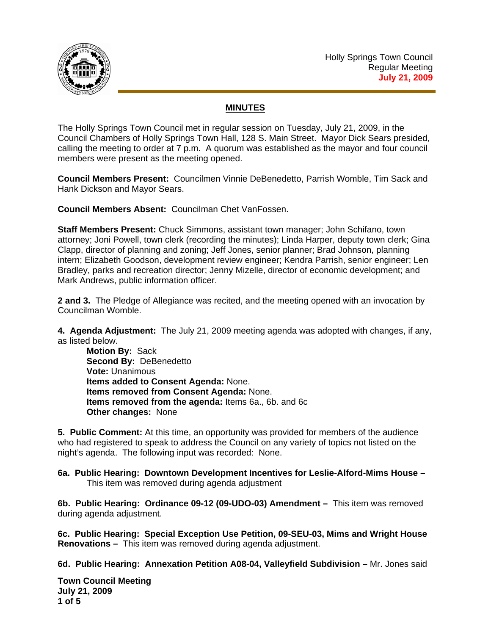

## **MINUTES**

The Holly Springs Town Council met in regular session on Tuesday, July 21, 2009, in the Council Chambers of Holly Springs Town Hall, 128 S. Main Street. Mayor Dick Sears presided, calling the meeting to order at 7 p.m. A quorum was established as the mayor and four council members were present as the meeting opened.

**Council Members Present:** Councilmen Vinnie DeBenedetto, Parrish Womble, Tim Sack and Hank Dickson and Mayor Sears.

**Council Members Absent:** Councilman Chet VanFossen.

**Staff Members Present:** Chuck Simmons, assistant town manager; John Schifano, town attorney; Joni Powell, town clerk (recording the minutes); Linda Harper, deputy town clerk; Gina Clapp, director of planning and zoning; Jeff Jones, senior planner; Brad Johnson, planning intern; Elizabeth Goodson, development review engineer; Kendra Parrish, senior engineer; Len Bradley, parks and recreation director; Jenny Mizelle, director of economic development; and Mark Andrews, public information officer.

**2 and 3.** The Pledge of Allegiance was recited, and the meeting opened with an invocation by Councilman Womble.

**4. Agenda Adjustment:** The July 21, 2009 meeting agenda was adopted with changes, if any, as listed below.

**Motion By:** Sack **Second By:** DeBenedetto **Vote:** Unanimous  **Items added to Consent Agenda:** None.  **Items removed from Consent Agenda:** None.  **Items removed from the agenda:** Items 6a., 6b. and 6c  **Other changes:** None

**5. Public Comment:** At this time, an opportunity was provided for members of the audience who had registered to speak to address the Council on any variety of topics not listed on the night's agenda. The following input was recorded: None.

**6a. Public Hearing: Downtown Development Incentives for Leslie-Alford-Mims House –**  This item was removed during agenda adjustment

**6b. Public Hearing: Ordinance 09-12 (09-UDO-03) Amendment –** This item was removed during agenda adjustment.

**6c. Public Hearing: Special Exception Use Petition, 09-SEU-03, Mims and Wright House Renovations –** This item was removed during agenda adjustment.

**6d. Public Hearing: Annexation Petition A08-04, Valleyfield Subdivision –** Mr. Jones said

**Town Council Meeting July 21, 2009 1 of 5**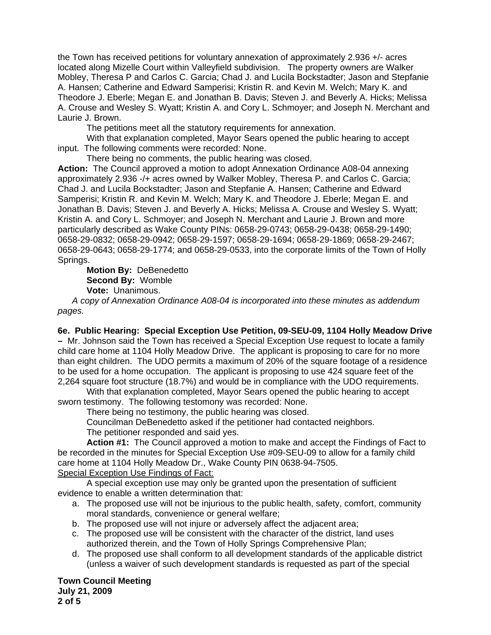the Town has received petitions for voluntary annexation of approximately 2.936 +/- acres located along Mizelle Court within Valleyfield subdivision. The property owners are Walker Mobley, Theresa P and Carlos C. Garcia; Chad J. and Lucila Bockstadter; Jason and Stepfanie A. Hansen; Catherine and Edward Samperisi; Kristin R. and Kevin M. Welch; Mary K. and Theodore J. Eberle; Megan E. and Jonathan B. Davis; Steven J. and Beverly A. Hicks; Melissa A. Crouse and Wesley S. Wyatt; Kristin A. and Cory L. Schmoyer; and Joseph N. Merchant and Laurie J. Brown.

The petitions meet all the statutory requirements for annexation.

With that explanation completed, Mayor Sears opened the public hearing to accept input. The following comments were recorded: None.

There being no comments, the public hearing was closed.

**Action:** The Council approved a motion to adopt Annexation Ordinance A08-04 annexing approximately 2.936 -/+ acres owned by Walker Mobley, Theresa P. and Carlos C. Garcia; Chad J. and Lucila Bockstadter; Jason and Stepfanie A. Hansen; Catherine and Edward Samperisi; Kristin R. and Kevin M. Welch; Mary K. and Theodore J. Eberle; Megan E. and Jonathan B. Davis; Steven J. and Beverly A. Hicks; Melissa A. Crouse and Wesley S. Wyatt; Kristin A. and Cory L. Schmoyer; and Joseph N. Merchant and Laurie J. Brown and more particularly described as Wake County PINs: 0658-29-0743; 0658-29-0438; 0658-29-1490; 0658-29-0832; 0658-29-0942; 0658-29-1597; 0658-29-1694; 0658-29-1869; 0658-29-2467; 0658-29-0643; 0658-29-1774; and 0658-29-0533, into the corporate limits of the Town of Holly Springs.

**Motion By:** DeBenedetto **Second By:** Womble **Vote:** Unanimous.

 *A copy of Annexation Ordinance A08-04 is incorporated into these minutes as addendum pages.*

**6e. Public Hearing: Special Exception Use Petition, 09-SEU-09, 1104 Holly Meadow Drive –** Mr. Johnson said the Town has received a Special Exception Use request to locate a family child care home at 1104 Holly Meadow Drive. The applicant is proposing to care for no more than eight children. The UDO permits a maximum of 20% of the square footage of a residence to be used for a home occupation. The applicant is proposing to use 424 square feet of the 2,264 square foot structure (18.7%) and would be in compliance with the UDO requirements.

With that explanation completed, Mayor Sears opened the public hearing to accept sworn testimony. The following testomony was recorded: None.

There being no testimony, the public hearing was closed.

Councilman DeBenedetto asked if the petitioner had contacted neighbors. The petitioner responded and said yes.

**Action #1:** The Council approved a motion to make and accept the Findings of Fact to be recorded in the minutes for Special Exception Use #09-SEU-09 to allow for a family child care home at 1104 Holly Meadow Dr., Wake County PIN 0638-94-7505. Special Exception Use Findings of Fact:

 A special exception use may only be granted upon the presentation of sufficient evidence to enable a written determination that:

- a. The proposed use will not be injurious to the public health, safety, comfort, community moral standards, convenience or general welfare;
- b. The proposed use will not injure or adversely affect the adjacent area;
- c. The proposed use will be consistent with the character of the district, land uses authorized therein, and the Town of Holly Springs Comprehensive Plan;
- d. The proposed use shall conform to all development standards of the applicable district (unless a waiver of such development standards is requested as part of the special

**Town Council Meeting July 21, 2009 2 of 5**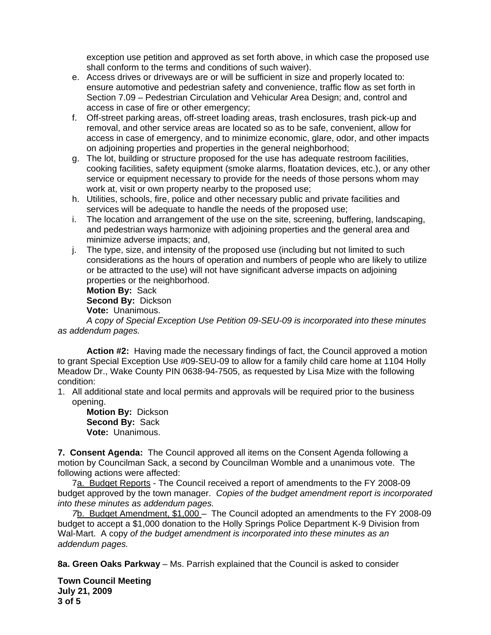exception use petition and approved as set forth above, in which case the proposed use shall conform to the terms and conditions of such waiver).

- e. Access drives or driveways are or will be sufficient in size and properly located to: ensure automotive and pedestrian safety and convenience, traffic flow as set forth in Section 7.09 – Pedestrian Circulation and Vehicular Area Design; and, control and access in case of fire or other emergency;
- f. Off-street parking areas, off-street loading areas, trash enclosures, trash pick-up and removal, and other service areas are located so as to be safe, convenient, allow for access in case of emergency, and to minimize economic, glare, odor, and other impacts on adjoining properties and properties in the general neighborhood;
- g. The lot, building or structure proposed for the use has adequate restroom facilities, cooking facilities, safety equipment (smoke alarms, floatation devices, etc.), or any other service or equipment necessary to provide for the needs of those persons whom may work at, visit or own property nearby to the proposed use;
- h. Utilities, schools, fire, police and other necessary public and private facilities and services will be adequate to handle the needs of the proposed use;
- i. The location and arrangement of the use on the site, screening, buffering, landscaping, and pedestrian ways harmonize with adjoining properties and the general area and minimize adverse impacts; and,
- j. The type, size, and intensity of the proposed use (including but not limited to such considerations as the hours of operation and numbers of people who are likely to utilize or be attracted to the use) will not have significant adverse impacts on adjoining properties or the neighborhood.

**Motion By:** Sack

**Second By:** Dickson

**Vote:** Unanimous.

*A copy of Special Exception Use Petition 09-SEU-09 is incorporated into these minutes as addendum pages.*

**Action #2:** Having made the necessary findings of fact, the Council approved a motion to grant Special Exception Use #09-SEU-09 to allow for a family child care home at 1104 Holly Meadow Dr., Wake County PIN 0638-94-7505, as requested by Lisa Mize with the following condition:

1. All additional state and local permits and approvals will be required prior to the business opening.

**Motion By:** Dickson **Second By:** Sack **Vote:** Unanimous.

**7. Consent Agenda:** The Council approved all items on the Consent Agenda following a motion by Councilman Sack, a second by Councilman Womble and a unanimous vote. The following actions were affected:

 7a. Budget Reports - The Council received a report of amendments to the FY 2008-09 budget approved by the town manager. *Copies of the budget amendment report is incorporated into these minutes as addendum pages.* 

 *7*b. Budget Amendment, \$1,000 – The Council adopted an amendments to the FY 2008-09 budget to accept a \$1,000 donation to the Holly Springs Police Department K-9 Division from Wal-Mart. A copy *of the budget amendment is incorporated into these minutes as an addendum pages.*

**8a. Green Oaks Parkway** – Ms. Parrish explained that the Council is asked to consider

**Town Council Meeting July 21, 2009 3 of 5**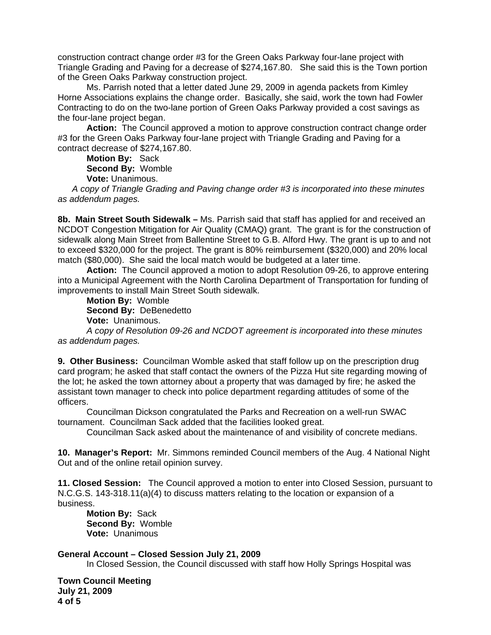construction contract change order #3 for the Green Oaks Parkway four-lane project with Triangle Grading and Paving for a decrease of \$274,167.80. She said this is the Town portion of the Green Oaks Parkway construction project.

 Ms. Parrish noted that a letter dated June 29, 2009 in agenda packets from Kimley Horne Associations explains the change order. Basically, she said, work the town had Fowler Contracting to do on the two-lane portion of Green Oaks Parkway provided a cost savings as the four-lane project began.

Action: The Council approved a motion to approve construction contract change order #3 for the Green Oaks Parkway four-lane project with Triangle Grading and Paving for a contract decrease of \$274,167.80.

 **Motion By:** Sack **Second By:** Womble **Vote:** Unanimous.

 *A copy of Triangle Grading and Paving change order #3 is incorporated into these minutes as addendum pages.* 

**8b. Main Street South Sidewalk –** Ms. Parrish said that staff has applied for and received an NCDOT Congestion Mitigation for Air Quality (CMAQ) grant. The grant is for the construction of sidewalk along Main Street from Ballentine Street to G.B. Alford Hwy. The grant is up to and not to exceed \$320,000 for the project. The grant is 80% reimbursement (\$320,000) and 20% local match (\$80,000). She said the local match would be budgeted at a later time.

**Action:** The Council approved a motion to adopt Resolution 09-26, to approve entering into a Municipal Agreement with the North Carolina Department of Transportation for funding of improvements to install Main Street South sidewalk.

**Motion By:** Womble **Second By:** DeBenedetto **Vote:** Unanimous.

*A copy of Resolution 09-26 and NCDOT agreement is incorporated into these minutes as addendum pages.*

**9. Other Business:** Councilman Womble asked that staff follow up on the prescription drug card program; he asked that staff contact the owners of the Pizza Hut site regarding mowing of the lot; he asked the town attorney about a property that was damaged by fire; he asked the assistant town manager to check into police department regarding attitudes of some of the officers.

 Councilman Dickson congratulated the Parks and Recreation on a well-run SWAC tournament. Councilman Sack added that the facilities looked great.

Councilman Sack asked about the maintenance of and visibility of concrete medians.

**10. Manager's Report:** Mr. Simmons reminded Council members of the Aug. 4 National Night Out and of the online retail opinion survey.

**11. Closed Session:** The Council approved a motion to enter into Closed Session, pursuant to N.C.G.S. 143-318.11(a)(4) to discuss matters relating to the location or expansion of a business.

**Motion By:** Sack **Second By:** Womble **Vote:** Unanimous

**General Account – Closed Session July 21, 2009** 

In Closed Session, the Council discussed with staff how Holly Springs Hospital was

**Town Council Meeting July 21, 2009 4 of 5**